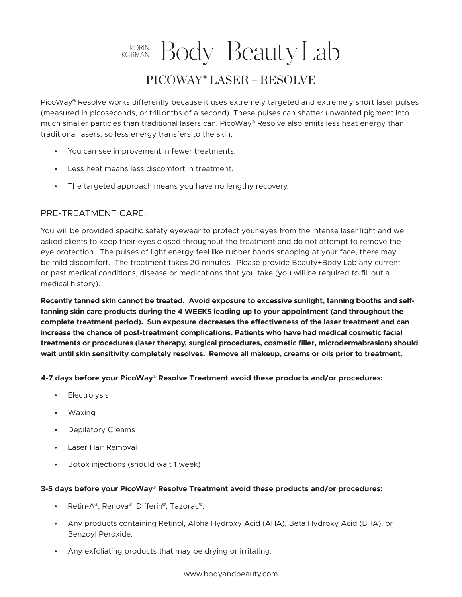## KORINAN Body+Beauty Lab PICOWAY® LASER – RESOLVE

PicoWay® Resolve works differently because it uses extremely targeted and extremely short laser pulses (measured in picoseconds, or trillionths of a second). These pulses can shatter unwanted pigment into much smaller particles than traditional lasers can. PicoWay® Resolve also emits less heat energy than traditional lasers, so less energy transfers to the skin.

- You can see improvement in fewer treatments.
- Less heat means less discomfort in treatment.
- The targeted approach means you have no lengthy recovery.

## PRE-TREATMENT CARE:

You will be provided specific safety eyewear to protect your eyes from the intense laser light and we asked clients to keep their eyes closed throughout the treatment and do not attempt to remove the eye protection. The pulses of light energy feel like rubber bands snapping at your face, there may be mild discomfort. The treatment takes 20 minutes. Please provide Beauty+Body Lab any current or past medical conditions, disease or medications that you take (you will be required to fill out a medical history).

**Recently tanned skin cannot be treated. Avoid exposure to excessive sunlight, tanning booths and selftanning skin care products during the 4 WEEKS leading up to your appointment (and throughout the complete treatment period). Sun exposure decreases the effectiveness of the laser treatment and can increase the chance of post-treatment complications. Patients who have had medical cosmetic facial treatments or procedures (laser therapy, surgical procedures, cosmetic filler, microdermabrasion) should wait until skin sensitivity completely resolves. Remove all makeup, creams or oils prior to treatment.**

**4-7 days before your PicoWay**® **Resolve Treatment avoid these products and/or procedures:**

- Electrolysis
- Waxing
- Depilatory Creams
- Laser Hair Removal
- Botox injections (should wait 1 week)

## **3-5 days before your PicoWay**® **Resolve Treatment avoid these products and/or procedures:**

- Retin-A®, Renova®, Differin®, Tazorac®.
- Any products containing Retinol, Alpha Hydroxy Acid (AHA), Beta Hydroxy Acid (BHA), or Benzoyl Peroxide.
- Any exfoliating products that may be drying or irritating.